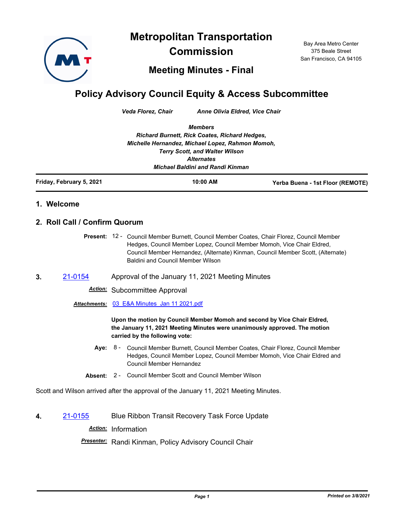**Metropolitan Transportation** 



**Commission**

Bay Area Metro Center 375 Beale Street San Francisco, CA 94105

**Meeting Minutes - Final**

## **Policy Advisory Council Equity & Access Subcommittee**

*Veda Florez, Chair Anne Olivia Eldred, Vice Chair*

*Members Richard Burnett, Rick Coates, Richard Hedges, Michelle Hernandez, Michael Lopez, Rahmon Momoh, Terry Scott, and Walter Wilson Alternates Michael Baldini and Randi Kinman*

**Friday, February 5, 2021 10:00 AM Yerba Buena - 1st Floor (REMOTE)**

## **1. Welcome**

## **2. Roll Call / Confirm Quorum**

Present: 12 - Council Member Burnett, Council Member Coates, Chair Florez, Council Member Hedges, Council Member Lopez, Council Member Momoh, Vice Chair Eldred, Council Member Hernandez, (Alternate) Kinman, Council Member Scott, (Alternate) Baldini and Council Member Wilson

**3.** [21-0154](http://mtc.legistar.com/gateway.aspx?m=l&id=/matter.aspx?key=21747) Approval of the January 11, 2021 Meeting Minutes

*Action:* Subcommittee Approval

*Attachments:* [03\\_E&A Minutes\\_Jan 11 2021.pdf](http://mtc.legistar.com/gateway.aspx?M=F&ID=3348efdf-0ac0-46f6-ab06-bc9b317c330f.pdf)

**Upon the motion by Council Member Momoh and second by Vice Chair Eldred, the January 11, 2021 Meeting Minutes were unanimously approved. The motion carried by the following vote:**

- **Aye:** Council Member Burnett, Council Member Coates, Chair Florez, Council Member Hedges, Council Member Lopez, Council Member Momoh, Vice Chair Eldred and Council Member Hernandez Aye: 8 -
- **Absent:** 2 Council Member Scott and Council Member Wilson

Scott and Wilson arrived after the approval of the January 11, 2021 Meeting Minutes.

**4.** [21-0155](http://mtc.legistar.com/gateway.aspx?m=l&id=/matter.aspx?key=21748) Blue Ribbon Transit Recovery Task Force Update

*Action:* Information

*Presenter:* Randi Kinman, Policy Advisory Council Chair